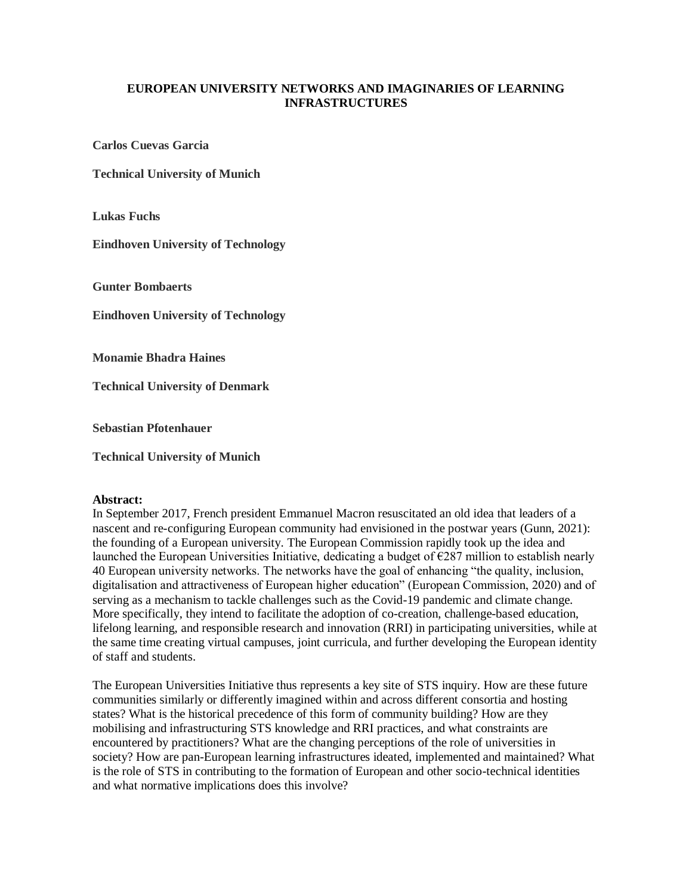## **EUROPEAN UNIVERSITY NETWORKS AND IMAGINARIES OF LEARNING INFRASTRUCTURES**

**Carlos Cuevas Garcia**

**Technical University of Munich**

**Lukas Fuchs**

**Eindhoven University of Technology**

**Gunter Bombaerts**

**Eindhoven University of Technology**

**Monamie Bhadra Haines**

**Technical University of Denmark**

**Sebastian Pfotenhauer**

**Technical University of Munich**

## **Abstract:**

In September 2017, French president Emmanuel Macron resuscitated an old idea that leaders of a nascent and re-configuring European community had envisioned in the postwar years (Gunn, 2021): the founding of a European university. The European Commission rapidly took up the idea and launched the European Universities Initiative, dedicating a budget of  $\epsilon$ 287 million to establish nearly 40 European university networks. The networks have the goal of enhancing "the quality, inclusion, digitalisation and attractiveness of European higher education" (European Commission, 2020) and of serving as a mechanism to tackle challenges such as the Covid-19 pandemic and climate change. More specifically, they intend to facilitate the adoption of co-creation, challenge-based education, lifelong learning, and responsible research and innovation (RRI) in participating universities, while at the same time creating virtual campuses, joint curricula, and further developing the European identity of staff and students.

The European Universities Initiative thus represents a key site of STS inquiry. How are these future communities similarly or differently imagined within and across different consortia and hosting states? What is the historical precedence of this form of community building? How are they mobilising and infrastructuring STS knowledge and RRI practices, and what constraints are encountered by practitioners? What are the changing perceptions of the role of universities in society? How are pan-European learning infrastructures ideated, implemented and maintained? What is the role of STS in contributing to the formation of European and other socio-technical identities and what normative implications does this involve?